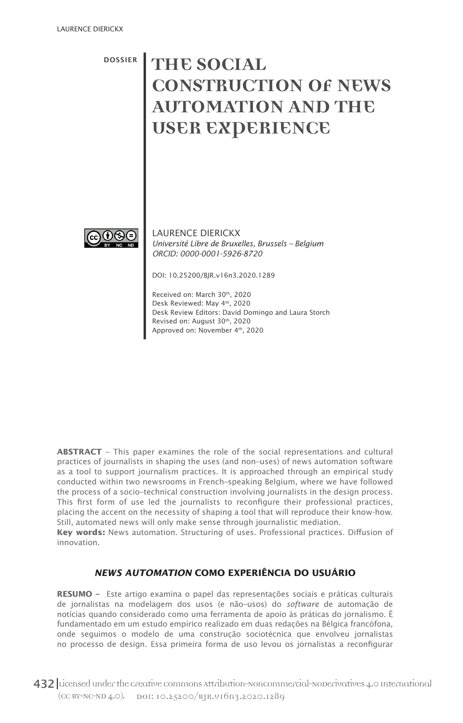DOSSIER

# **THE SOCIAL CONSTRUCTION OF NEWS AUTOMATION AND THE USER EXPERIENCE**



LAURENCE DIERICKX *Université Libre de Bruxelles, Brussels – Belgium ORCID: 0000-0001-5926-8720*

DOI: 10.25200/BJR.v16n3.2020.1289

Received on: March 30th, 2020 Desk Reviewed: May 4th, 2020 Desk Review Editors: David Domingo and Laura Storch Revised on: August 30th, 2020 Approved on: November 4<sup>th</sup>, 2020

**ABSTRACT** – This paper examines the role of the social representations and cultural practices of journalists in shaping the uses (and non–uses) of news automation software as a tool to support journalism practices. It is approached through an empirical study conducted within two newsrooms in French–speaking Belgium, where we have followed the process of a socio–technical construction involving journalists in the design process. This first form of use led the journalists to reconfigure their professional practices, placing the accent on the necessity of shaping a tool that will reproduce their know-how. Still, automated news will only make sense through journalistic mediation.

**Key words:** News automation. Structuring of uses. Professional practices. Diffusion of innovation.

#### *NEWS AUTOMATION* **COMO EXPERIÊNCIA DO USUÁRIO**

**RESUMO –** Este artigo examina o papel das representações sociais e práticas culturais de jornalistas na modelagem dos usos (e não–usos) do *software* de automação de notícias quando considerado como uma ferramenta de apoio às práticas do jornalismo. É fundamentado em um estudo empírico realizado em duas redações na Bélgica francófona, onde seguimos o modelo de uma construção sociotécnica que envolveu jornalistas no processo de design. Essa primeira forma de uso levou os jornalistas a reconfigurar

432 Licensed under the creative commons attribution-noncommercial-noperivatives 4.0 International (CC BY-NC-ND 4.0). DOI: 10.25200/BJR.v16n3.2020.1289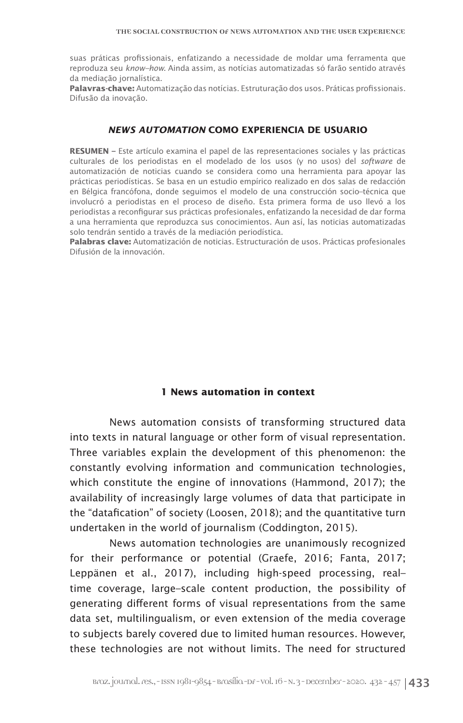suas práticas profissionais, enfatizando a necessidade de moldar uma ferramenta que reproduza seu *know–how.* Ainda assim, as notícias automatizadas só farão sentido através da mediação jornalística.

**Palavras-chave:** Automatização das notícias. Estruturação dos usos. Práticas profissionais. Difusão da inovação.

#### *NEWS AUTOMATION* **COMO EXPERIENCIA DE USUARIO**

**RESUMEN –** Este artículo examina el papel de las representaciones sociales y las prácticas culturales de los periodistas en el modelado de los usos (y no usos) del *software* de automatización de noticias cuando se considera como una herramienta para apoyar las prácticas periodísticas. Se basa en un estudio empírico realizado en dos salas de redacción en Bélgica francófona, donde seguimos el modelo de una construcción socio–técnica que involucró a periodistas en el proceso de diseño. Esta primera forma de uso llevó a los periodistas a reconfigurar sus prácticas profesionales, enfatizando la necesidad de dar forma a una herramienta que reproduzca sus conocimientos. Aun así, las noticias automatizadas solo tendrán sentido a través de la mediación periodística.

**Palabras clave:** Automatización de noticias. Estructuración de usos. Prácticas profesionales Difusión de la innovación.

#### **1 News automation in context**

News automation consists of transforming structured data into texts in natural language or other form of visual representation. Three variables explain the development of this phenomenon: the constantly evolving information and communication technologies, which constitute the engine of innovations (Hammond, 2017); the availability of increasingly large volumes of data that participate in the "datafication" of society (Loosen, 2018); and the quantitative turn undertaken in the world of journalism (Coddington, 2015).

News automation technologies are unanimously recognized for their performance or potential (Graefe, 2016; Fanta, 2017; Leppänen et al., 2017), including high-speed processing, real– time coverage, large–scale content production, the possibility of generating different forms of visual representations from the same data set, multilingualism, or even extension of the media coverage to subjects barely covered due to limited human resources. However, these technologies are not without limits. The need for structured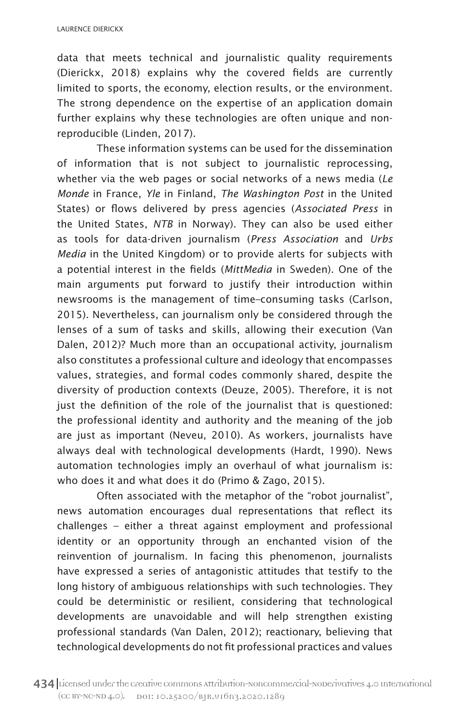data that meets technical and journalistic quality requirements (Dierickx, 2018) explains why the covered fields are currently limited to sports, the economy, election results, or the environment. The strong dependence on the expertise of an application domain further explains why these technologies are often unique and nonreproducible (Linden, 2017).

These information systems can be used for the dissemination of information that is not subject to journalistic reprocessing, whether via the web pages or social networks of a news media (*Le Monde* in France, *Yle* in Finland, *The Washington Post* in the United States) or flows delivered by press agencies (*Associated Press* in the United States, *NTB* in Norway). They can also be used either as tools for data-driven journalism (*Press Association* and *Urbs Media* in the United Kingdom) or to provide alerts for subjects with a potential interest in the fields (*MittMedia* in Sweden). One of the main arguments put forward to justify their introduction within newsrooms is the management of time–consuming tasks (Carlson, 2015). Nevertheless, can journalism only be considered through the lenses of a sum of tasks and skills, allowing their execution (Van Dalen, 2012)? Much more than an occupational activity, journalism also constitutes a professional culture and ideology that encompasses values, strategies, and formal codes commonly shared, despite the diversity of production contexts (Deuze, 2005). Therefore, it is not just the definition of the role of the journalist that is questioned: the professional identity and authority and the meaning of the job are just as important (Neveu, 2010). As workers, journalists have always deal with technological developments (Hardt, 1990). News automation technologies imply an overhaul of what journalism is: who does it and what does it do (Primo & Zago, 2015).

Often associated with the metaphor of the "robot journalist", news automation encourages dual representations that reflect its challenges – either a threat against employment and professional identity or an opportunity through an enchanted vision of the reinvention of journalism. In facing this phenomenon, journalists have expressed a series of antagonistic attitudes that testify to the long history of ambiguous relationships with such technologies. They could be deterministic or resilient, considering that technological developments are unavoidable and will help strengthen existing professional standards (Van Dalen, 2012); reactionary, believing that technological developments do not fit professional practices and values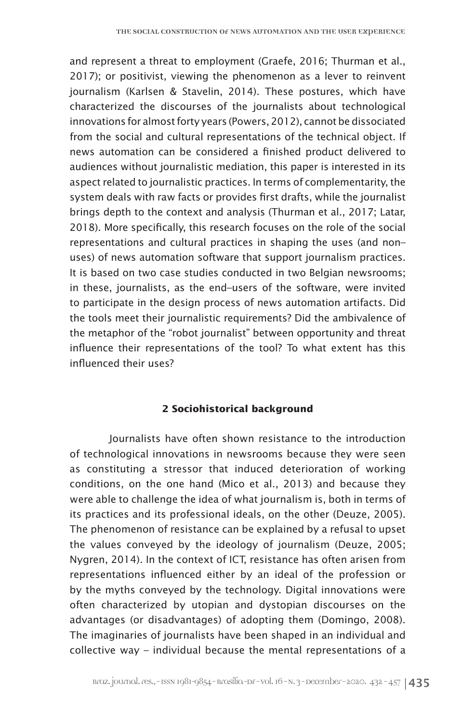and represent a threat to employment (Graefe, 2016; Thurman et al., 2017); or positivist, viewing the phenomenon as a lever to reinvent journalism (Karlsen & Stavelin, 2014). These postures, which have characterized the discourses of the journalists about technological innovations for almost forty years (Powers, 2012), cannot be dissociated from the social and cultural representations of the technical object. If news automation can be considered a finished product delivered to audiences without journalistic mediation, this paper is interested in its aspect related to journalistic practices. In terms of complementarity, the system deals with raw facts or provides first drafts, while the journalist brings depth to the context and analysis (Thurman et al., 2017; Latar, 2018). More specifically, this research focuses on the role of the social representations and cultural practices in shaping the uses (and non– uses) of news automation software that support journalism practices. It is based on two case studies conducted in two Belgian newsrooms; in these, journalists, as the end–users of the software, were invited to participate in the design process of news automation artifacts. Did the tools meet their journalistic requirements? Did the ambivalence of the metaphor of the "robot journalist" between opportunity and threat influence their representations of the tool? To what extent has this influenced their uses?

## **2 Sociohistorical background**

Journalists have often shown resistance to the introduction of technological innovations in newsrooms because they were seen as constituting a stressor that induced deterioration of working conditions, on the one hand (Mico et al., 2013) and because they were able to challenge the idea of what journalism is, both in terms of its practices and its professional ideals, on the other (Deuze, 2005). The phenomenon of resistance can be explained by a refusal to upset the values conveyed by the ideology of journalism (Deuze, 2005; Nygren, 2014). In the context of ICT, resistance has often arisen from representations influenced either by an ideal of the profession or by the myths conveyed by the technology. Digital innovations were often characterized by utopian and dystopian discourses on the advantages (or disadvantages) of adopting them (Domingo, 2008). The imaginaries of journalists have been shaped in an individual and collective way – individual because the mental representations of a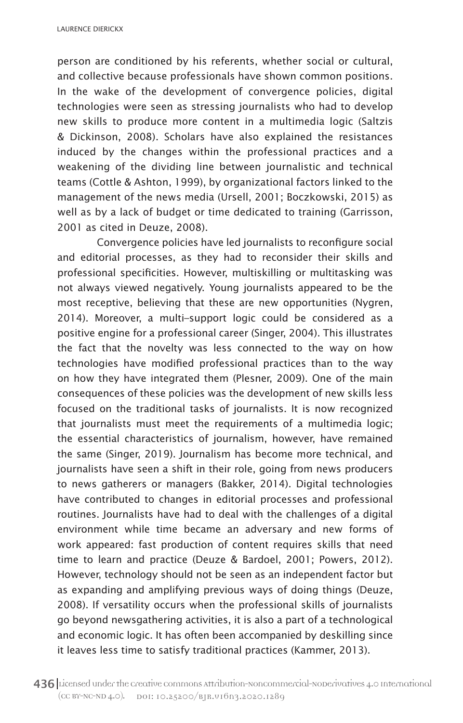LAURENCE DIERICKX

person are conditioned by his referents, whether social or cultural, and collective because professionals have shown common positions. In the wake of the development of convergence policies, digital technologies were seen as stressing journalists who had to develop new skills to produce more content in a multimedia logic (Saltzis & Dickinson, 2008). Scholars have also explained the resistances induced by the changes within the professional practices and a weakening of the dividing line between journalistic and technical teams (Cottle & Ashton, 1999), by organizational factors linked to the management of the news media (Ursell, 2001; Boczkowski, 2015) as well as by a lack of budget or time dedicated to training (Garrisson, 2001 as cited in Deuze, 2008).

Convergence policies have led journalists to reconfigure social and editorial processes, as they had to reconsider their skills and professional specificities. However, multiskilling or multitasking was not always viewed negatively. Young journalists appeared to be the most receptive, believing that these are new opportunities (Nygren, 2014). Moreover, a multi–support logic could be considered as a positive engine for a professional career (Singer, 2004). This illustrates the fact that the novelty was less connected to the way on how technologies have modified professional practices than to the way on how they have integrated them (Plesner, 2009). One of the main consequences of these policies was the development of new skills less focused on the traditional tasks of journalists. It is now recognized that journalists must meet the requirements of a multimedia logic; the essential characteristics of journalism, however, have remained the same (Singer, 2019). Journalism has become more technical, and journalists have seen a shift in their role, going from news producers to news gatherers or managers (Bakker, 2014). Digital technologies have contributed to changes in editorial processes and professional routines. Journalists have had to deal with the challenges of a digital environment while time became an adversary and new forms of work appeared: fast production of content requires skills that need time to learn and practice (Deuze & Bardoel, 2001; Powers, 2012). However, technology should not be seen as an independent factor but as expanding and amplifying previous ways of doing things (Deuze, 2008). If versatility occurs when the professional skills of journalists go beyond newsgathering activities, it is also a part of a technological and economic logic. It has often been accompanied by deskilling since it leaves less time to satisfy traditional practices (Kammer, 2013).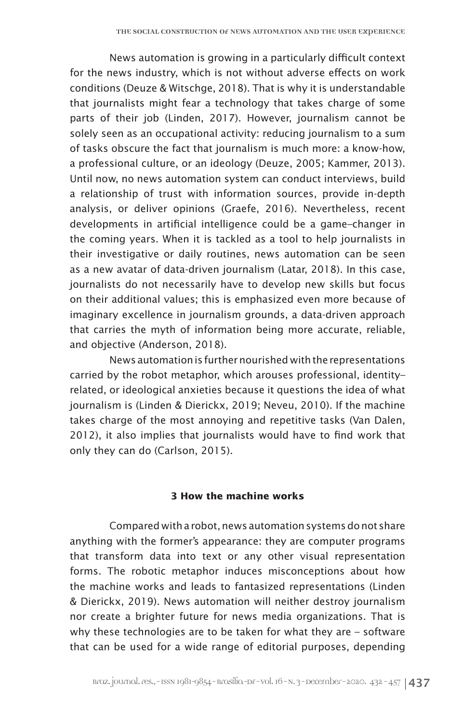News automation is growing in a particularly difficult context for the news industry, which is not without adverse effects on work conditions (Deuze & Witschge, 2018). That is why it is understandable that journalists might fear a technology that takes charge of some parts of their job (Linden, 2017). However, journalism cannot be solely seen as an occupational activity: reducing journalism to a sum of tasks obscure the fact that journalism is much more: a know-how, a professional culture, or an ideology (Deuze, 2005; Kammer, 2013). Until now, no news automation system can conduct interviews, build a relationship of trust with information sources, provide in-depth analysis, or deliver opinions (Graefe, 2016). Nevertheless, recent developments in artificial intelligence could be a game–changer in the coming years. When it is tackled as a tool to help journalists in their investigative or daily routines, news automation can be seen as a new avatar of data-driven journalism (Latar, 2018). In this case, journalists do not necessarily have to develop new skills but focus on their additional values; this is emphasized even more because of imaginary excellence in journalism grounds, a data-driven approach that carries the myth of information being more accurate, reliable, and objective (Anderson, 2018).

News automation is further nourished with the representations carried by the robot metaphor, which arouses professional, identity– related, or ideological anxieties because it questions the idea of what journalism is (Linden & Dierickx, 2019; Neveu, 2010). If the machine takes charge of the most annoying and repetitive tasks (Van Dalen, 2012), it also implies that journalists would have to find work that only they can do (Carlson, 2015).

#### **3 How the machine works**

Compared with a robot, news automation systems do not share anything with the former's appearance: they are computer programs that transform data into text or any other visual representation forms. The robotic metaphor induces misconceptions about how the machine works and leads to fantasized representations (Linden & Dierickx, 2019). News automation will neither destroy journalism nor create a brighter future for news media organizations. That is why these technologies are to be taken for what they are – software that can be used for a wide range of editorial purposes, depending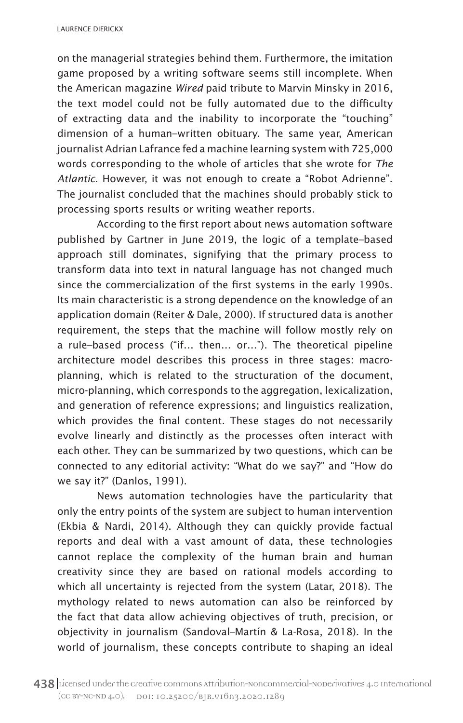on the managerial strategies behind them. Furthermore, the imitation game proposed by a writing software seems still incomplete. When the American magazine *Wired* paid tribute to Marvin Minsky in 2016, the text model could not be fully automated due to the difficulty of extracting data and the inability to incorporate the "touching" dimension of a human–written obituary. The same year, American journalist Adrian Lafrance fed a machine learning system with 725,000 words corresponding to the whole of articles that she wrote for *The Atlantic*. However, it was not enough to create a "Robot Adrienne". The journalist concluded that the machines should probably stick to processing sports results or writing weather reports.

According to the first report about news automation software published by Gartner in June 2019, the logic of a template–based approach still dominates, signifying that the primary process to transform data into text in natural language has not changed much since the commercialization of the first systems in the early 1990s. Its main characteristic is a strong dependence on the knowledge of an application domain (Reiter & Dale, 2000). If structured data is another requirement, the steps that the machine will follow mostly rely on a rule–based process ("if… then… or…"). The theoretical pipeline architecture model describes this process in three stages: macroplanning, which is related to the structuration of the document, micro-planning, which corresponds to the aggregation, lexicalization, and generation of reference expressions; and linguistics realization, which provides the final content. These stages do not necessarily evolve linearly and distinctly as the processes often interact with each other. They can be summarized by two questions, which can be connected to any editorial activity: "What do we say?" and "How do we say it?" (Danlos, 1991).

News automation technologies have the particularity that only the entry points of the system are subject to human intervention (Ekbia & Nardi, 2014). Although they can quickly provide factual reports and deal with a vast amount of data, these technologies cannot replace the complexity of the human brain and human creativity since they are based on rational models according to which all uncertainty is rejected from the system (Latar, 2018). The mythology related to news automation can also be reinforced by the fact that data allow achieving objectives of truth, precision, or objectivity in journalism (Sandoval–Martín & La-Rosa, 2018). In the world of journalism, these concepts contribute to shaping an ideal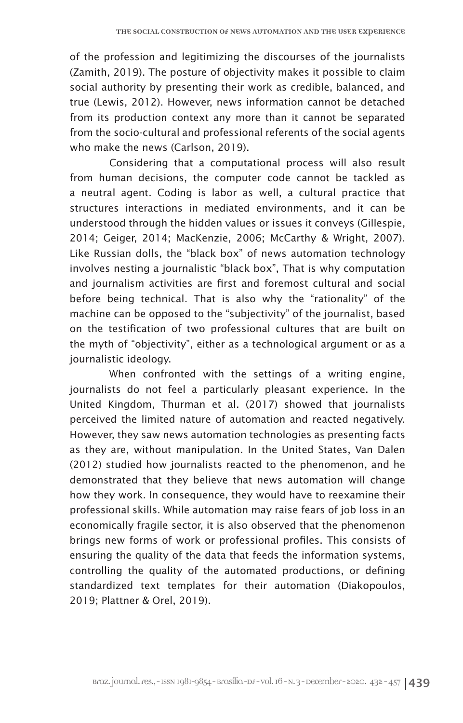of the profession and legitimizing the discourses of the journalists (Zamith, 2019). The posture of objectivity makes it possible to claim social authority by presenting their work as credible, balanced, and true (Lewis, 2012). However, news information cannot be detached from its production context any more than it cannot be separated from the socio-cultural and professional referents of the social agents who make the news (Carlson, 2019).

Considering that a computational process will also result from human decisions, the computer code cannot be tackled as a neutral agent. Coding is labor as well, a cultural practice that structures interactions in mediated environments, and it can be understood through the hidden values or issues it conveys (Gillespie, 2014; Geiger, 2014; MacKenzie, 2006; McCarthy & Wright, 2007). Like Russian dolls, the "black box" of news automation technology involves nesting a journalistic "black box", That is why computation and journalism activities are first and foremost cultural and social before being technical. That is also why the "rationality" of the machine can be opposed to the "subjectivity" of the journalist, based on the testification of two professional cultures that are built on the myth of "objectivity", either as a technological argument or as a journalistic ideology.

When confronted with the settings of a writing engine, journalists do not feel a particularly pleasant experience. In the United Kingdom, Thurman et al. (2017) showed that journalists perceived the limited nature of automation and reacted negatively. However, they saw news automation technologies as presenting facts as they are, without manipulation. In the United States, Van Dalen (2012) studied how journalists reacted to the phenomenon, and he demonstrated that they believe that news automation will change how they work. In consequence, they would have to reexamine their professional skills. While automation may raise fears of job loss in an economically fragile sector, it is also observed that the phenomenon brings new forms of work or professional profiles. This consists of ensuring the quality of the data that feeds the information systems, controlling the quality of the automated productions, or defining standardized text templates for their automation (Diakopoulos, 2019; Plattner & Orel, 2019).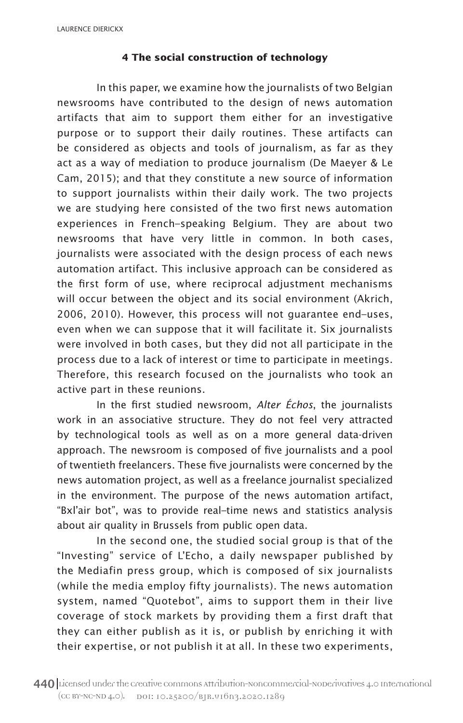#### **4 The social construction of technology**

In this paper, we examine how the journalists of two Belgian newsrooms have contributed to the design of news automation artifacts that aim to support them either for an investigative purpose or to support their daily routines. These artifacts can be considered as objects and tools of journalism, as far as they act as a way of mediation to produce journalism (De Maeyer & Le Cam, 2015); and that they constitute a new source of information to support journalists within their daily work. The two projects we are studying here consisted of the two first news automation experiences in French–speaking Belgium. They are about two newsrooms that have very little in common. In both cases, journalists were associated with the design process of each news automation artifact. This inclusive approach can be considered as the first form of use, where reciprocal adjustment mechanisms will occur between the object and its social environment (Akrich, 2006, 2010). However, this process will not guarantee end–uses, even when we can suppose that it will facilitate it. Six journalists were involved in both cases, but they did not all participate in the process due to a lack of interest or time to participate in meetings. Therefore, this research focused on the journalists who took an active part in these reunions.

In the first studied newsroom, *Alter Échos*, the journalists work in an associative structure. They do not feel very attracted by technological tools as well as on a more general data-driven approach. The newsroom is composed of five journalists and a pool of twentieth freelancers. These five journalists were concerned by the news automation project, as well as a freelance journalist specialized in the environment. The purpose of the news automation artifact, "Bxl'air bot", was to provide real–time news and statistics analysis about air quality in Brussels from public open data.

In the second one, the studied social group is that of the "Investing" service of L'Echo, a daily newspaper published by the Mediafin press group, which is composed of six journalists (while the media employ fifty journalists). The news automation system, named "Quotebot", aims to support them in their live coverage of stock markets by providing them a first draft that they can either publish as it is, or publish by enriching it with their expertise, or not publish it at all. In these two experiments,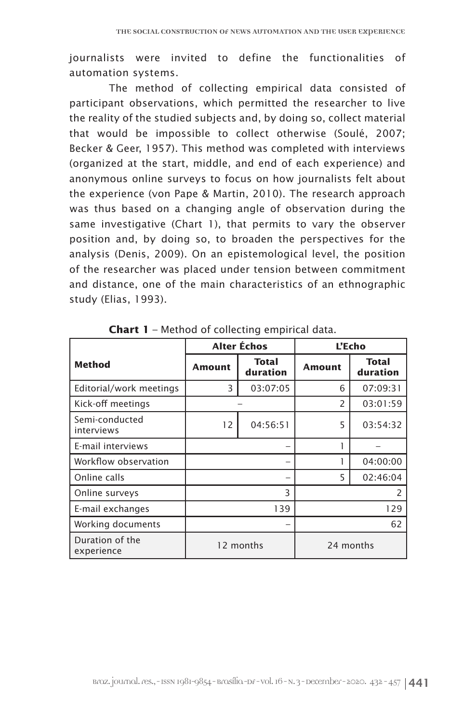journalists were invited to define the functionalities of automation systems.

The method of collecting empirical data consisted of participant observations, which permitted the researcher to live the reality of the studied subjects and, by doing so, collect material that would be impossible to collect otherwise (Soulé, 2007; Becker & Geer, 1957). This method was completed with interviews (organized at the start, middle, and end of each experience) and anonymous online surveys to focus on how journalists felt about the experience (von Pape & Martin, 2010). The research approach was thus based on a changing angle of observation during the same investigative (Chart 1), that permits to vary the observer position and, by doing so, to broaden the perspectives for the analysis (Denis, 2009). On an epistemological level, the position of the researcher was placed under tension between commitment and distance, one of the main characteristics of an ethnographic study (Elias, 1993).

|                               | <b>Alter Échos</b> |                   | L'Echo         |                          |
|-------------------------------|--------------------|-------------------|----------------|--------------------------|
| <b>Method</b>                 | <b>Amount</b>      | Total<br>duration | <b>Amount</b>  | <b>Total</b><br>duration |
| Editorial/work meetings       | 3                  | 03:07:05          | 6              | 07:09:31                 |
| Kick-off meetings             |                    |                   | $\overline{2}$ | 03:01:59                 |
| Semi-conducted<br>interviews  | 12                 | 04:56:51          | 5              | 03:54:32                 |
| E-mail interviews             |                    |                   |                |                          |
| Workflow observation          | -                  |                   |                | 04:00:00                 |
| Online calls                  | -                  |                   | 5              | 02:46:04                 |
| Online surveys                | 3                  |                   | $\mathcal{P}$  |                          |
| E-mail exchanges              | 139                |                   | 129            |                          |
| Working documents             | -                  |                   | 62             |                          |
| Duration of the<br>experience | 12 months          |                   | 24 months      |                          |

**Chart 1** – Method of collecting empirical data.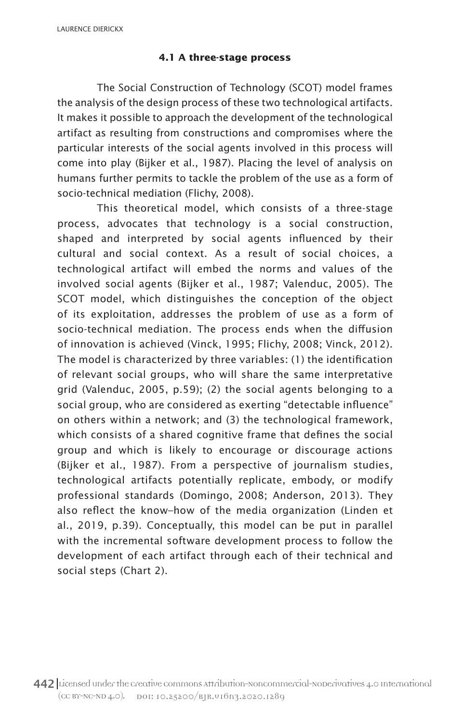#### **4.1 A three-stage process**

The Social Construction of Technology (SCOT) model frames the analysis of the design process of these two technological artifacts. It makes it possible to approach the development of the technological artifact as resulting from constructions and compromises where the particular interests of the social agents involved in this process will come into play (Bijker et al., 1987). Placing the level of analysis on humans further permits to tackle the problem of the use as a form of socio-technical mediation (Flichy, 2008).

This theoretical model, which consists of a three-stage process, advocates that technology is a social construction, shaped and interpreted by social agents influenced by their cultural and social context. As a result of social choices, a technological artifact will embed the norms and values of the involved social agents (Bijker et al., 1987; Valenduc, 2005). The SCOT model, which distinguishes the conception of the object of its exploitation, addresses the problem of use as a form of socio-technical mediation. The process ends when the diffusion of innovation is achieved (Vinck, 1995; Flichy, 2008; Vinck, 2012). The model is characterized by three variables: (1) the identification of relevant social groups, who will share the same interpretative grid (Valenduc, 2005, p.59); (2) the social agents belonging to a social group, who are considered as exerting "detectable influence" on others within a network; and (3) the technological framework, which consists of a shared cognitive frame that defines the social group and which is likely to encourage or discourage actions (Bijker et al., 1987). From a perspective of journalism studies, technological artifacts potentially replicate, embody, or modify professional standards (Domingo, 2008; Anderson, 2013). They also reflect the know–how of the media organization (Linden et al., 2019, p.39). Conceptually, this model can be put in parallel with the incremental software development process to follow the development of each artifact through each of their technical and social steps (Chart 2).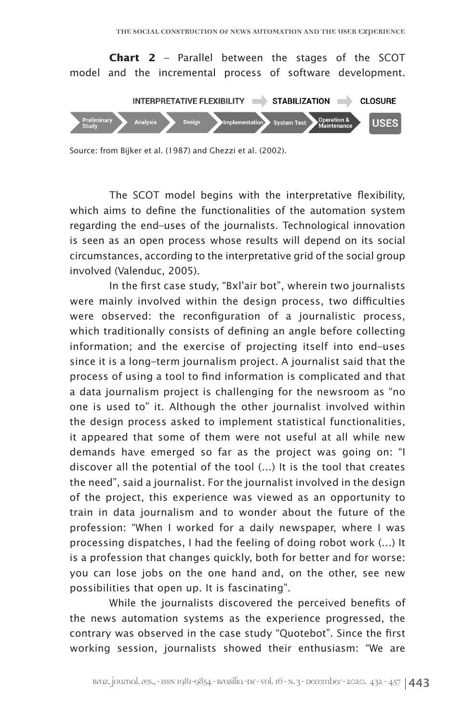

Source: from Bijker et al. (1987) and Ghezzi et al*.* (2002).

The SCOT model begins with the interpretative flexibility, which aims to define the functionalities of the automation system regarding the end–uses of the journalists. Technological innovation is seen as an open process whose results will depend on its social circumstances, according to the interpretative grid of the social group involved (Valenduc, 2005).

In the first case study, "Bxl'air bot", wherein two journalists were mainly involved within the design process, two difficulties were observed: the reconfiguration of a journalistic process, which traditionally consists of defining an angle before collecting information; and the exercise of projecting itself into end–uses since it is a long–term journalism project. A journalist said that the process of using a tool to find information is complicated and that a data journalism project is challenging for the newsroom as "no one is used to" it. Although the other journalist involved within the design process asked to implement statistical functionalities, it appeared that some of them were not useful at all while new demands have emerged so far as the project was going on: "I discover all the potential of the tool (…) It is the tool that creates the need", said a journalist. For the journalist involved in the design of the project, this experience was viewed as an opportunity to train in data journalism and to wonder about the future of the profession: "When I worked for a daily newspaper, where I was processing dispatches, I had the feeling of doing robot work (...) It is a profession that changes quickly, both for better and for worse: you can lose jobs on the one hand and, on the other, see new possibilities that open up. It is fascinating".

While the journalists discovered the perceived benefits of the news automation systems as the experience progressed, the contrary was observed in the case study "Quotebot". Since the first working session, journalists showed their enthusiasm: "We are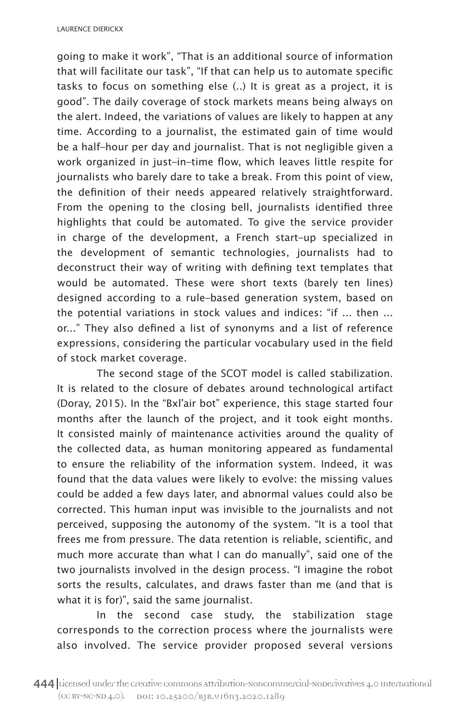going to make it work", "That is an additional source of information that will facilitate our task", "If that can help us to automate specific tasks to focus on something else (..) It is great as a project, it is good". The daily coverage of stock markets means being always on the alert. Indeed, the variations of values are likely to happen at any time. According to a journalist, the estimated gain of time would be a half–hour per day and journalist. That is not negligible given a work organized in just–in–time flow, which leaves little respite for journalists who barely dare to take a break. From this point of view, the definition of their needs appeared relatively straightforward. From the opening to the closing bell, journalists identified three highlights that could be automated. To give the service provider in charge of the development, a French start–up specialized in the development of semantic technologies, journalists had to deconstruct their way of writing with defining text templates that would be automated. These were short texts (barely ten lines) designed according to a rule–based generation system, based on the potential variations in stock values and indices: "if ... then ... or..." They also defined a list of synonyms and a list of reference expressions, considering the particular vocabulary used in the field of stock market coverage.

The second stage of the SCOT model is called stabilization. It is related to the closure of debates around technological artifact (Doray, 2015). In the "Bxl'air bot" experience, this stage started four months after the launch of the project, and it took eight months. It consisted mainly of maintenance activities around the quality of the collected data, as human monitoring appeared as fundamental to ensure the reliability of the information system. Indeed, it was found that the data values were likely to evolve: the missing values could be added a few days later, and abnormal values could also be corrected. This human input was invisible to the journalists and not perceived, supposing the autonomy of the system. "It is a tool that frees me from pressure. The data retention is reliable, scientific, and much more accurate than what I can do manually", said one of the two journalists involved in the design process. "I imagine the robot sorts the results, calculates, and draws faster than me (and that is what it is for)", said the same journalist.

In the second case study, the stabilization stage corresponds to the correction process where the journalists were also involved. The service provider proposed several versions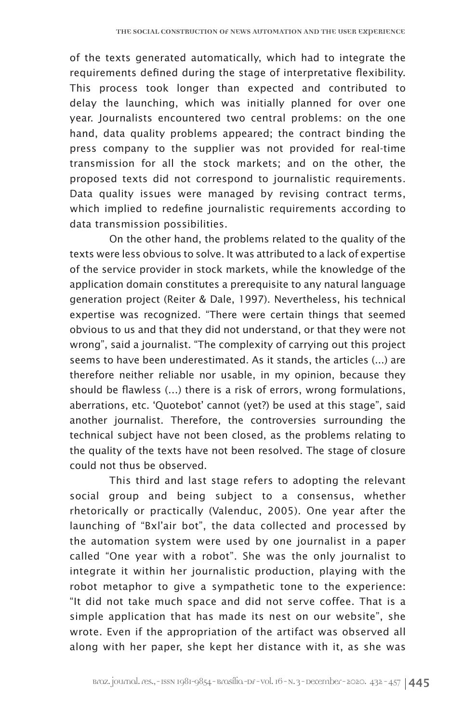of the texts generated automatically, which had to integrate the requirements defined during the stage of interpretative flexibility. This process took longer than expected and contributed to delay the launching, which was initially planned for over one year. Journalists encountered two central problems: on the one hand, data quality problems appeared; the contract binding the press company to the supplier was not provided for real-time transmission for all the stock markets; and on the other, the proposed texts did not correspond to journalistic requirements. Data quality issues were managed by revising contract terms, which implied to redefine journalistic requirements according to data transmission possibilities.

On the other hand, the problems related to the quality of the texts were less obvious to solve. It was attributed to a lack of expertise of the service provider in stock markets, while the knowledge of the application domain constitutes a prerequisite to any natural language generation project (Reiter & Dale, 1997). Nevertheless, his technical expertise was recognized. "There were certain things that seemed obvious to us and that they did not understand, or that they were not wrong", said a journalist. "The complexity of carrying out this project seems to have been underestimated. As it stands, the articles (...) are therefore neither reliable nor usable, in my opinion, because they should be flawless (…) there is a risk of errors, wrong formulations, aberrations, etc. 'Quotebot' cannot (yet?) be used at this stage", said another journalist. Therefore, the controversies surrounding the technical subject have not been closed, as the problems relating to the quality of the texts have not been resolved. The stage of closure could not thus be observed.

This third and last stage refers to adopting the relevant social group and being subject to a consensus, whether rhetorically or practically (Valenduc, 2005). One year after the launching of "Bxl'air bot", the data collected and processed by the automation system were used by one journalist in a paper called "One year with a robot". She was the only journalist to integrate it within her journalistic production, playing with the robot metaphor to give a sympathetic tone to the experience: "It did not take much space and did not serve coffee. That is a simple application that has made its nest on our website", she wrote. Even if the appropriation of the artifact was observed all along with her paper, she kept her distance with it, as she was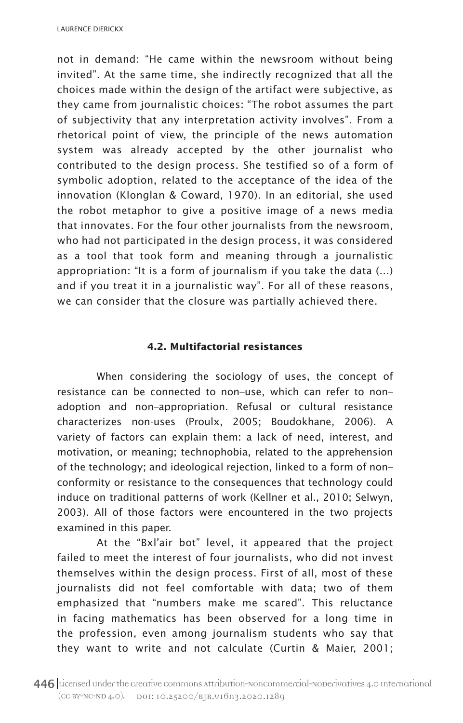not in demand: "He came within the newsroom without being invited". At the same time, she indirectly recognized that all the choices made within the design of the artifact were subjective, as they came from journalistic choices: "The robot assumes the part of subjectivity that any interpretation activity involves". From a rhetorical point of view, the principle of the news automation system was already accepted by the other journalist who contributed to the design process. She testified so of a form of symbolic adoption, related to the acceptance of the idea of the innovation (Klonglan & Coward, 1970). In an editorial, she used the robot metaphor to give a positive image of a news media that innovates. For the four other journalists from the newsroom, who had not participated in the design process, it was considered as a tool that took form and meaning through a journalistic appropriation: "It is a form of journalism if you take the data (…) and if you treat it in a journalistic way". For all of these reasons, we can consider that the closure was partially achieved there.

# **4.2. Multifactorial resistances**

When considering the sociology of uses, the concept of resistance can be connected to non–use, which can refer to non– adoption and non–appropriation. Refusal or cultural resistance characterizes non-uses (Proulx, 2005; Boudokhane, 2006). A variety of factors can explain them: a lack of need, interest, and motivation, or meaning; technophobia, related to the apprehension of the technology; and ideological rejection, linked to a form of non– conformity or resistance to the consequences that technology could induce on traditional patterns of work (Kellner et al., 2010; Selwyn, 2003). All of those factors were encountered in the two projects examined in this paper.

At the "Bxl'air bot" level, it appeared that the project failed to meet the interest of four journalists, who did not invest themselves within the design process. First of all, most of these journalists did not feel comfortable with data; two of them emphasized that "numbers make me scared". This reluctance in facing mathematics has been observed for a long time in the profession, even among journalism students who say that they want to write and not calculate (Curtin & Maier, 2001;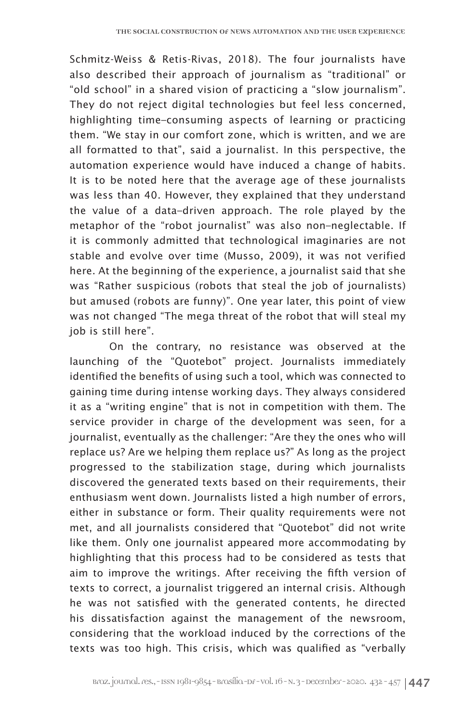Schmitz-Weiss & Retis-Rivas, 2018). The four journalists have also described their approach of journalism as "traditional" or "old school" in a shared vision of practicing a "slow journalism". They do not reject digital technologies but feel less concerned, highlighting time–consuming aspects of learning or practicing them. "We stay in our comfort zone, which is written, and we are all formatted to that", said a journalist. In this perspective, the automation experience would have induced a change of habits. It is to be noted here that the average age of these journalists was less than 40. However, they explained that they understand the value of a data–driven approach. The role played by the metaphor of the "robot journalist" was also non–neglectable. If it is commonly admitted that technological imaginaries are not stable and evolve over time (Musso, 2009), it was not verified here. At the beginning of the experience, a journalist said that she was "Rather suspicious (robots that steal the job of journalists) but amused (robots are funny)". One year later, this point of view was not changed "The mega threat of the robot that will steal my job is still here".

On the contrary, no resistance was observed at the launching of the "Quotebot" project. Journalists immediately identified the benefits of using such a tool, which was connected to gaining time during intense working days. They always considered it as a "writing engine" that is not in competition with them. The service provider in charge of the development was seen, for a journalist, eventually as the challenger: "Are they the ones who will replace us? Are we helping them replace us?" As long as the project progressed to the stabilization stage, during which journalists discovered the generated texts based on their requirements, their enthusiasm went down. Journalists listed a high number of errors, either in substance or form. Their quality requirements were not met, and all journalists considered that "Quotebot" did not write like them. Only one journalist appeared more accommodating by highlighting that this process had to be considered as tests that aim to improve the writings. After receiving the fifth version of texts to correct, a journalist triggered an internal crisis. Although he was not satisfied with the generated contents, he directed his dissatisfaction against the management of the newsroom, considering that the workload induced by the corrections of the texts was too high. This crisis, which was qualified as "verbally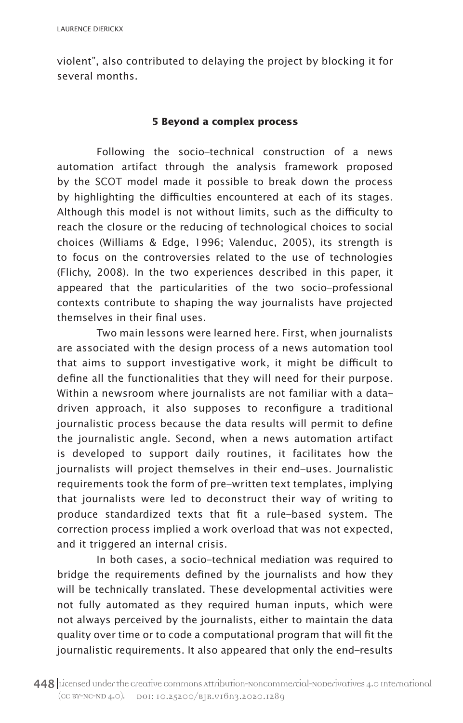violent", also contributed to delaying the project by blocking it for several months.

## **5 Beyond a complex process**

Following the socio–technical construction of a news automation artifact through the analysis framework proposed by the SCOT model made it possible to break down the process by highlighting the difficulties encountered at each of its stages. Although this model is not without limits, such as the difficulty to reach the closure or the reducing of technological choices to social choices (Williams & Edge, 1996; Valenduc, 2005), its strength is to focus on the controversies related to the use of technologies (Flichy, 2008). In the two experiences described in this paper, it appeared that the particularities of the two socio–professional contexts contribute to shaping the way journalists have projected themselves in their final uses.

Two main lessons were learned here. First, when journalists are associated with the design process of a news automation tool that aims to support investigative work, it might be difficult to define all the functionalities that they will need for their purpose. Within a newsroom where journalists are not familiar with a data– driven approach, it also supposes to reconfigure a traditional journalistic process because the data results will permit to define the journalistic angle. Second, when a news automation artifact is developed to support daily routines, it facilitates how the journalists will project themselves in their end–uses. Journalistic requirements took the form of pre–written text templates, implying that journalists were led to deconstruct their way of writing to produce standardized texts that fit a rule–based system. The correction process implied a work overload that was not expected, and it triggered an internal crisis.

In both cases, a socio–technical mediation was required to bridge the requirements defined by the journalists and how they will be technically translated. These developmental activities were not fully automated as they required human inputs, which were not always perceived by the journalists, either to maintain the data quality over time or to code a computational program that will fit the journalistic requirements. It also appeared that only the end–results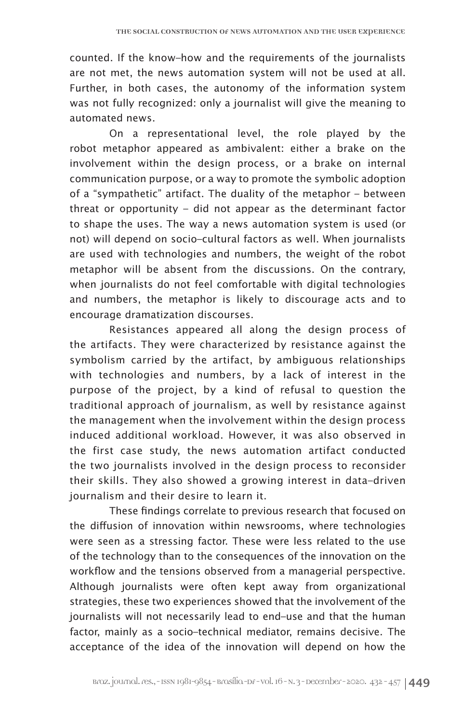counted. If the know–how and the requirements of the journalists are not met, the news automation system will not be used at all. Further, in both cases, the autonomy of the information system was not fully recognized: only a journalist will give the meaning to automated news.

On a representational level, the role played by the robot metaphor appeared as ambivalent: either a brake on the involvement within the design process, or a brake on internal communication purpose, or a way to promote the symbolic adoption of a "sympathetic" artifact. The duality of the metaphor – between threat or opportunity – did not appear as the determinant factor to shape the uses. The way a news automation system is used (or not) will depend on socio–cultural factors as well. When journalists are used with technologies and numbers, the weight of the robot metaphor will be absent from the discussions. On the contrary, when journalists do not feel comfortable with digital technologies and numbers, the metaphor is likely to discourage acts and to encourage dramatization discourses.

Resistances appeared all along the design process of the artifacts. They were characterized by resistance against the symbolism carried by the artifact, by ambiguous relationships with technologies and numbers, by a lack of interest in the purpose of the project, by a kind of refusal to question the traditional approach of journalism, as well by resistance against the management when the involvement within the design process induced additional workload. However, it was also observed in the first case study, the news automation artifact conducted the two journalists involved in the design process to reconsider their skills. They also showed a growing interest in data–driven journalism and their desire to learn it.

These findings correlate to previous research that focused on the diffusion of innovation within newsrooms, where technologies were seen as a stressing factor. These were less related to the use of the technology than to the consequences of the innovation on the workflow and the tensions observed from a managerial perspective. Although journalists were often kept away from organizational strategies, these two experiences showed that the involvement of the journalists will not necessarily lead to end–use and that the human factor, mainly as a socio–technical mediator, remains decisive. The acceptance of the idea of the innovation will depend on how the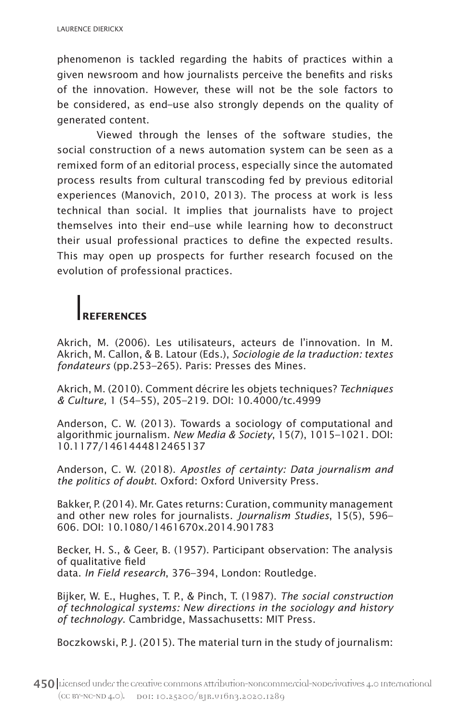phenomenon is tackled regarding the habits of practices within a given newsroom and how journalists perceive the benefits and risks of the innovation. However, these will not be the sole factors to be considered, as end–use also strongly depends on the quality of generated content.

Viewed through the lenses of the software studies, the social construction of a news automation system can be seen as a remixed form of an editorial process, especially since the automated process results from cultural transcoding fed by previous editorial experiences (Manovich, 2010, 2013). The process at work is less technical than social. It implies that journalists have to project themselves into their end–use while learning how to deconstruct their usual professional practices to define the expected results. This may open up prospects for further research focused on the evolution of professional practices.

# **REFERENCES**

Akrich, M. (2006). Les utilisateurs, acteurs de l'innovation. In M. Akrich, M. Callon, & B. Latour (Eds.), *Sociologie de la traduction: textes fondateurs* (pp.253–265). Paris: Presses des Mines.

Akrich, M. (2010). Comment décrire les objets techniques? *Techniques & Culture,* 1 (54–55), 205–219. DOI: 10.4000/tc.4999

Anderson, C. W. (2013). Towards a sociology of computational and algorithmic journalism. *New Media & Society*, 15(7), 1015–1021. DOI: 10.1177/1461444812465137

Anderson, C. W. (2018). *Apostles of certainty: Data journalism and the politics of doubt*. Oxford: Oxford University Press.

Bakker, P. (2014). Mr. Gates returns: Curation, community management and other new roles for journalists. *Journalism Studies*, 15(5), 596– 606. DOI: 10.1080/1461670x.2014.901783

Becker, H. S., & Geer, B. (1957). Participant observation: The analysis of qualitative field data. *In Field research*, 376–394, London: Routledge.

Bijker, W. E., Hughes, T. P., & Pinch, T. (1987). *The social construction of technological systems: New directions in the sociology and history of technology*. Cambridge, Massachusetts: MIT Press.

Boczkowski, P. J. (2015). The material turn in the study of journalism: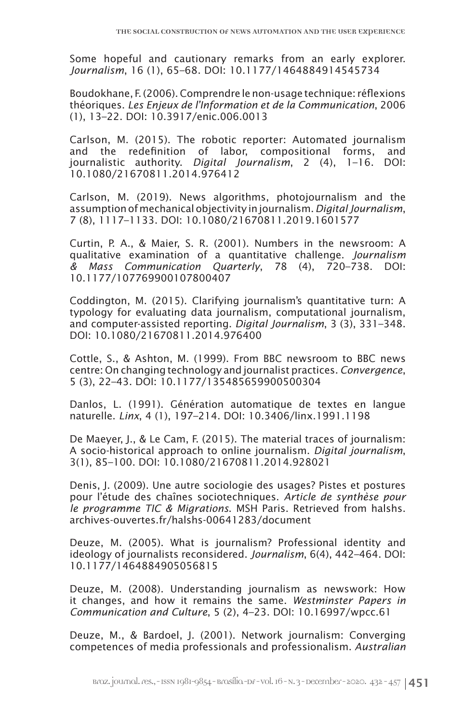Some hopeful and cautionary remarks from an early explorer. *Journalism*, 16 (1), 65–68. DOI: 10.1177/1464884914545734

Boudokhane, F. (2006). Comprendre le non-usage technique: réflexions théoriques. *Les Enjeux de l'Information et de la Communication*, 2006 (1), 13–22. DOI: 10.3917/enic.006.0013

Carlson, M. (2015). The robotic reporter: Automated journalism and the redefinition of labor, compositional forms, and journalistic authority. *Digital Journalism*, 2 (4), 1–16. DOI: 10.1080/21670811.2014.976412

Carlson, M. (2019). News algorithms, photojournalism and the assumption of mechanical objectivity in journalism. *Digital Journalism*, 7 (8), 1117–1133. DOI: 10.1080/21670811.2019.1601577

Curtin, P. A., & Maier, S. R. (2001). Numbers in the newsroom: A qualitative examination of a quantitative challenge. *Journalism & Mass Communication Quarterly*, 78 (4), 720–738. DOI: 10.1177/107769900107800407

Coddington, M. (2015). Clarifying journalism's quantitative turn: A typology for evaluating data journalism, computational journalism, and computer-assisted reporting. *Digital Journalism*, 3 (3), 331–348. DOI: 10.1080/21670811.2014.976400

Cottle, S., & Ashton, M. (1999). From BBC newsroom to BBC news centre: On changing technology and journalist practices. *Convergence*, 5 (3), 22–43. DOI: 10.1177/135485659900500304

Danlos, L. (1991). Génération automatique de textes en langue naturelle. *Linx*, 4 (1), 197–214. DOI: 10.3406/linx.1991.1198

De Maeyer, J., & Le Cam, F. (2015). The material traces of journalism: A socio-historical approach to online journalism. *Digital journalism*, 3(1), 85–100. DOI: 10.1080/21670811.2014.928021

Denis, J. (2009). Une autre sociologie des usages? Pistes et postures pour l'étude des chaînes sociotechniques. *Article de synthèse pour le programme TIC & Migrations*. MSH Paris. Retrieved from halshs. archives-ouvertes.fr/halshs-00641283/document

Deuze, M. (2005). What is journalism? Professional identity and ideology of journalists reconsidered. *Journalism*, 6(4), 442–464. DOI: 10.1177/1464884905056815

Deuze, M. (2008). Understanding journalism as newswork: How it changes, and how it remains the same. *Westminster Papers in Communication and Culture*, 5 (2), 4–23. DOI: 10.16997/wpcc.61

Deuze, M., & Bardoel, J. (2001). Network journalism: Converging competences of media professionals and professionalism. *Australian*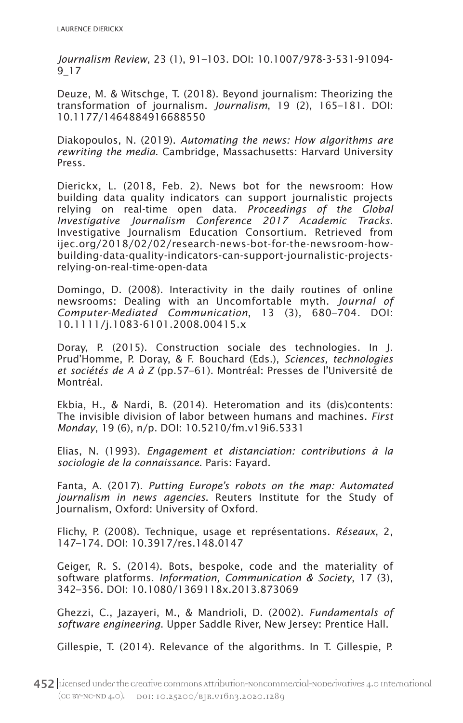*Journalism Review*, 23 (1), 91–103. DOI: 10.1007/978-3-531-91094- 9\_17

Deuze, M. & Witschge, T. (2018). Beyond journalism: Theorizing the transformation of journalism. *Journalism*, 19 (2), 165–181. DOI: 10.1177/1464884916688550

Diakopoulos, N. (2019). *Automating the news: How algorithms are rewriting the media*. Cambridge, Massachusetts: Harvard University Press.

Dierickx, L. (2018, Feb. 2). News bot for the newsroom: How building data quality indicators can support journalistic projects relying on real-time open data. *Proceedings of the Global Investigative Journalism Conference 2017 Academic Tracks*. Investigative Journalism Education Consortium. Retrieved from ijec.org/2018/02/02/research-news-bot-for-the-newsroom-howbuilding-data-quality-indicators-can-support-journalistic-projectsrelying-on-real-time-open-data

Domingo, D. (2008). Interactivity in the daily routines of online newsrooms: Dealing with an Uncomfortable myth. *Journal of Computer-Mediated Communication*, 13 (3), 680–704. DOI: 10.1111/j.1083-6101.2008.00415.x

Doray, P. (2015). Construction sociale des technologies. In J. Prud'Homme, P. Doray, & F. Bouchard (Eds.), *Sciences, technologies et sociétés de A à Z* (pp.57–61). Montréal: Presses de l'Université de Montréal.

Ekbia, H., & Nardi, B. (2014). Heteromation and its (dis)contents: The invisible division of labor between humans and machines. *First Monday*, 19 (6), n/p. DOI: 10.5210/fm.v19i6.5331

Elias, N. (1993). *Engagement et distanciation: contributions à la sociologie de la connaissance*. Paris: Fayard.

Fanta, A. (2017). *Putting Europe's robots on the map: Automated journalism in news agencies*. Reuters Institute for the Study of Journalism, Oxford: University of Oxford.

Flichy, P. (2008). Technique, usage et représentations. *Réseaux*, 2, 147–174. DOI: 10.3917/res.148.0147

Geiger, R. S. (2014). Bots, bespoke, code and the materiality of software platforms. *Information, Communication & Society*, 17 (3), 342–356. DOI: 10.1080/1369118x.2013.873069

Ghezzi, C., Jazayeri, M., & Mandrioli, D. (2002). *Fundamentals of software engineering*. Upper Saddle River, New Jersey: Prentice Hall.

Gillespie, T. (2014). Relevance of the algorithms. In T. Gillespie, P.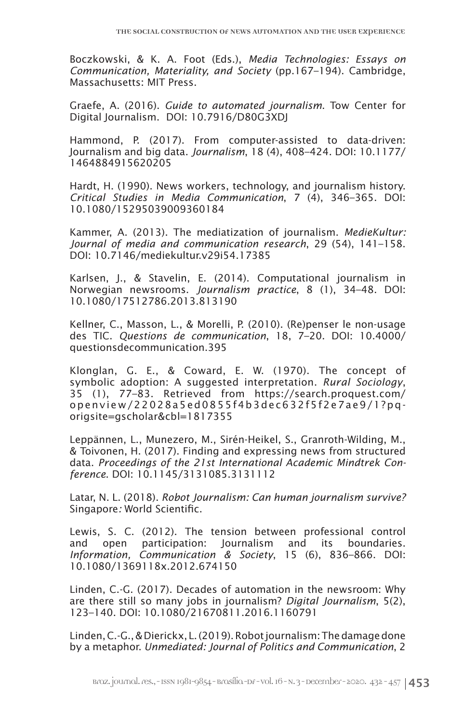Boczkowski, & K. A. Foot (Eds.), *Media Technologies: Essays on Communication, Materiality, and Society* (pp.167–194). Cambridge, Massachusetts: MIT Press.

Graefe, A. (2016). *Guide to automated journalism*. Tow Center for Digital Journalism. DOI: 10.7916/D80G3XDJ

Hammond, P. (2017). From computer-assisted to data-driven: Journalism and big data. *Journalism*, 18 (4), 408–424. DOI: 10.1177/ 1464884915620205

Hardt, H. (1990). News workers, technology, and journalism history. *Critical Studies in Media Communication*, 7 (4), 346–365. DOI: 10.1080/15295039009360184

Kammer, A. (2013). The mediatization of journalism. *MedieKultur: Journal of media and communication research*, 29 (54), 141–158. DOI: 10.7146/mediekultur.v29i54.17385

Karlsen, J., & Stavelin, E. (2014). Computational journalism in Norwegian newsrooms. *Journalism practice*, 8 (1), 34–48. DOI: 10.1080/17512786.2013.813190

Kellner, C., Masson, L., & Morelli, P. (2010). (Re)penser le non-usage des TIC. *Questions de communication*, 18, 7–20. DOI: 10.4000/ questionsdecommunication.395

Klonglan, G. E., & Coward, E. W. (1970). The concept of symbolic adoption: A suggested interpretation. *Rural Sociology*, 35 (1), 77–83. Retrieved from https://search.proquest.com/ openview/22028a5ed0855f4b3dec632f5f2e7ae9/1?pqorigsite=gscholar&cbl=1817355

Leppännen, L., Munezero, M., Sirén-Heikel, S., Granroth-Wilding, M., & Toivonen, H. (2017). Finding and expressing news from structured data. *Proceedings of the 21st International Academic Mindtrek Conference*. DOI: 10.1145/3131085.3131112

Latar, N. L. (2018). *Robot Journalism: Can human journalism survive?*  Singapore*:* World Scientific.

Lewis, S. C. (2012). The tension between professional control and open participation: Journalism and its boundaries. *Information, Communication & Society*, 15 (6), 836–866. DOI: 10.1080/1369118x.2012.674150

Linden, C.-G. (2017). Decades of automation in the newsroom: Why are there still so many jobs in journalism? *Digital Journalism*, 5(2), 123–140. DOI: 10.1080/21670811.2016.1160791

Linden, C.-G., & Dierickx, L. (2019). Robot journalism: The damage done by a metaphor. *Unmediated: Journal of Politics and Communication*, 2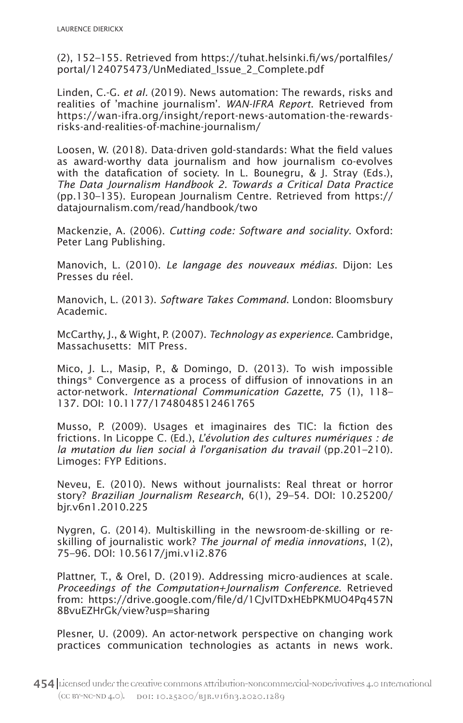(2), 152–155. Retrieved from https://tuhat.helsinki.fi/ws/portalfiles/ portal/124075473/UnMediated\_Issue\_2\_Complete.pdf

Linden, C.-G. *et al.* (2019). News automation: The rewards, risks and realities of 'machine journalism'. *WAN-IFRA Report*. Retrieved from https://wan-ifra.org/insight/report-news-automation-the-rewardsrisks-and-realities-of-machine-journalism/

Loosen, W. (2018). Data-driven gold-standards: What the field values as award-worthy data journalism and how journalism co-evolves with the datafication of society. In L. Bounegru, & J. Stray (Eds.), *The Data Journalism Handbook 2. Towards a Critical Data Practice* (pp.130–135). European Journalism Centre. Retrieved from https:// datajournalism.com/read/handbook/two

Mackenzie, A. (2006). *Cutting code: Software and sociality*. Oxford: Peter Lang Publishing.

Manovich, L. (2010). *Le langage des nouveaux médias*. Dijon: Les Presses du réel.

Manovich, L. (2013). *Software Takes Command*. London: Bloomsbury Academic.

McCarthy, J., & Wight, P. (2007). *Technology as experience*. Cambridge, Massachusetts: MIT Press.

Mico, J. L., Masip, P., & Domingo, D. (2013). To wish impossible things\* Convergence as a process of diffusion of innovations in an actor-network. *International Communication Gazette*, 75 (1), 118– 137. DOI: 10.1177/1748048512461765

Musso, P. (2009). Usages et imaginaires des TIC: la fiction des frictions. In Licoppe C. (Ed.), *L'évolution des cultures numériques : de la mutation du lien social à l'organisation du travail* (pp.201–210). Limoges: FYP Editions.

Neveu, E. (2010). News without journalists: Real threat or horror story? *Brazilian Journalism Research*, 6(1), 29–54. DOI: 10.25200/ bjr.v6n1.2010.225

Nygren, G. (2014). Multiskilling in the newsroom-de-skilling or reskilling of journalistic work? *The journal of media innovations*, 1(2), 75–96. DOI: 10.5617/jmi.v1i2.876

Plattner, T., & Orel, D. (2019). Addressing micro-audiences at scale. *Proceedings of the Computation+Journalism Conference*. Retrieved from: https://drive.google.com/file/d/1CJvITDxHEbPKMUO4Pq457N 8BvuEZHrGk/view?usp=sharing

Plesner, U. (2009). An actor-network perspective on changing work practices communication technologies as actants in news work.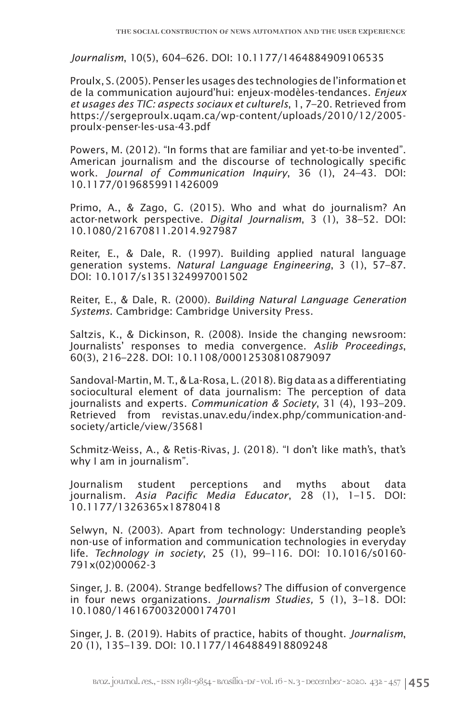*Journalism*, 10(5), 604–626. DOI: 10.1177/1464884909106535

Proulx, S. (2005). Penser les usages des technologies de l'information et de la communication aujourd'hui: enjeux-modèles-tendances. *Enjeux et usages des TIC: aspects sociaux et culturels*, 1, 7–20. Retrieved from https://sergeproulx.uqam.ca/wp-content/uploads/2010/12/2005 proulx-penser-les-usa-43.pdf

Powers, M. (2012). "In forms that are familiar and yet-to-be invented". American journalism and the discourse of technologically specific work. *Journal of Communication Inquiry*, 36 (1), 24–43. DOI: 10.1177/0196859911426009

Primo, A., & Zago, G. (2015). Who and what do journalism? An actor-network perspective. *Digital Journalism*, 3 (1), 38–52. DOI: 10.1080/21670811.2014.927987

Reiter, E., & Dale, R. (1997). Building applied natural language generation systems. *Natural Language Engineering*, 3 (1), 57–87. DOI: 10.1017/s1351324997001502

Reiter, E., & Dale, R. (2000). *Building Natural Language Generation Systems*. Cambridge: Cambridge University Press.

Saltzis, K., & Dickinson, R. (2008). Inside the changing newsroom: Journalists' responses to media convergence. *Aslib Proceedings*, 60(3), 216–228. DOI: 10.1108/00012530810879097

Sandoval-Martin, M. T., & La-Rosa, L. (2018). Big data as a differentiating sociocultural element of data journalism: The perception of data journalists and experts. *Communication & Society*, 31 (4), 193–209. Retrieved from revistas.unav.edu/index.php/communication-andsociety/article/view/35681

Schmitz-Weiss, A., & Retis-Rivas, J. (2018). "I don't like math's, that's why I am in journalism".

Journalism student perceptions and myths about data journalism. *Asia Pacific Media Educator*, 28 (1), 1–15. DOI: 10.1177/1326365x18780418

Selwyn, N. (2003). Apart from technology: Understanding people's non-use of information and communication technologies in everyday life. *Technology in society*, 25 (1), 99–116. DOI: 10.1016/s0160- 791x(02)00062-3

Singer, J. B. (2004). Strange bedfellows? The diffusion of convergence in four news organizations. *Journalism Studies,* 5 (1), 3–18. DOI: 10.1080/1461670032000174701

Singer, J. B. (2019). Habits of practice, habits of thought. *Journalism*, 20 (1), 135–139. DOI: 10.1177/1464884918809248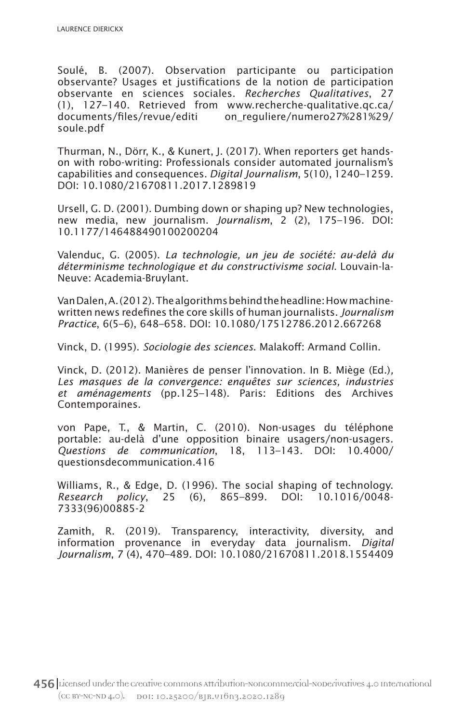Soulé, B. (2007). Observation participante ou participation observante? Usages et justifications de la notion de participation observante en sciences sociales. *Recherches Qualitatives*, 27 (1), 127–140. Retrieved from www.recherche-qualitative.qc.ca/ documents/files/revue/editi on\_reguliere/numero27%281%29/ soule.pdf

Thurman, N., Dörr, K., & Kunert, J. (2017). When reporters get handson with robo-writing: Professionals consider automated journalism's capabilities and consequences. *Digital Journalism*, 5(10), 1240–1259. DOI: 10.1080/21670811.2017.1289819

Ursell, G. D. (2001). Dumbing down or shaping up? New technologies, new media, new journalism. *Journalism*, 2 (2), 175–196. DOI: 10.1177/146488490100200204

Valenduc, G. (2005). *La technologie, un jeu de société: au-delà du déterminisme technologique et du constructivisme social*. Louvain-la-Neuve: Academia-Bruylant.

Van Dalen, A. (2012). The algorithms behind the headline: How machinewritten news redefines the core skills of human journalists. *Journalism Practice*, 6(5–6), 648–658. DOI: 10.1080/17512786.2012.667268

Vinck, D. (1995). *Sociologie des sciences*. Malakoff: Armand Collin.

Vinck, D. (2012). Manières de penser l'innovation. In B. Miège (Ed.)*, Les masques de la convergence: enquêtes sur sciences, industries et aménagements* (pp.125–148). Paris: Editions des Archives Contemporaines.

von Pape, T., & Martin, C. (2010). Non-usages du téléphone portable: au-delà d'une opposition binaire usagers/non-usagers. *Questions de communication*, 18, 113–143. DOI: 10.4000/ questionsdecommunication.416

Williams, R., & Edge, D. (1996). The social shaping of technology. *Research policy*, 25 (6), 865–899. DOI: 10.1016/0048- 7333(96)00885-2

Zamith, R. (2019). Transparency, interactivity, diversity, and information provenance in everyday data journalism. *Digital Journalism*, 7 (4), 470–489. DOI: 10.1080/21670811.2018.1554409